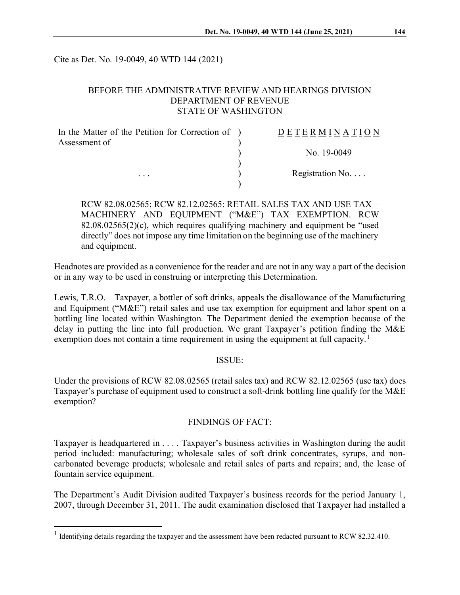Cite as Det. No. 19-0049, 40 WTD 144 (2021)

#### BEFORE THE ADMINISTRATIVE REVIEW AND HEARINGS DIVISION DEPARTMENT OF REVENUE STATE OF WASHINGTON

| In the Matter of the Petition for Correction of ) | <b>DETERMINATION</b>     |
|---------------------------------------------------|--------------------------|
| Assessment of                                     |                          |
|                                                   | No. 19-0049              |
|                                                   |                          |
| $\cdots$                                          | Registration No. $\dots$ |
|                                                   |                          |

RCW 82.08.02565; RCW 82.12.02565: RETAIL SALES TAX AND USE TAX – MACHINERY AND EQUIPMENT ("M&E") TAX EXEMPTION. RCW  $82.08.02565(2)$ (c), which requires qualifying machinery and equipment be "used directly" does not impose any time limitation on the beginning use of the machinery and equipment.

Headnotes are provided as a convenience for the reader and are not in any way a part of the decision or in any way to be used in construing or interpreting this Determination.

Lewis, T.R.O. – Taxpayer, a bottler of soft drinks, appeals the disallowance of the Manufacturing and Equipment ("M&E") retail sales and use tax exemption for equipment and labor spent on a bottling line located within Washington. The Department denied the exemption because of the delay in putting the line into full production. We grant Taxpayer's petition finding the M&E exemption does not contain a time requirement in using the equipment at full capacity.<sup>[1](#page-0-0)</sup>

#### ISSUE:

Under the provisions of RCW 82.08.02565 (retail sales tax) and RCW 82.12.02565 (use tax) does Taxpayer's purchase of equipment used to construct a soft-drink bottling line qualify for the M&E exemption?

## FINDINGS OF FACT:

Taxpayer is headquartered in . . . . Taxpayer's business activities in Washington during the audit period included: manufacturing; wholesale sales of soft drink concentrates, syrups, and noncarbonated beverage products; wholesale and retail sales of parts and repairs; and, the lease of fountain service equipment.

The Department's Audit Division audited Taxpayer's business records for the period January 1, 2007, through December 31, 2011. The audit examination disclosed that Taxpayer had installed a

<span id="page-0-0"></span><sup>&</sup>lt;sup>1</sup> Identifying details regarding the taxpayer and the assessment have been redacted pursuant to RCW 82.32.410.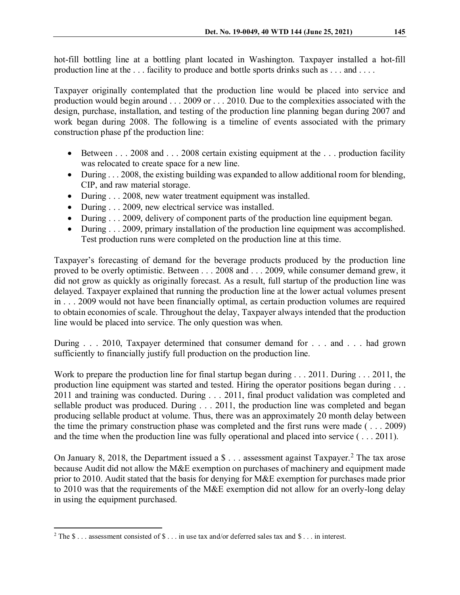hot-fill bottling line at a bottling plant located in Washington. Taxpayer installed a hot-fill production line at the ... facility to produce and bottle sports drinks such as ... and ....

Taxpayer originally contemplated that the production line would be placed into service and production would begin around . . . 2009 or . . . 2010. Due to the complexities associated with the design, purchase, installation, and testing of the production line planning began during 2007 and work began during 2008. The following is a timeline of events associated with the primary construction phase pf the production line:

- Between . . . 2008 and . . . 2008 certain existing equipment at the . . . production facility was relocated to create space for a new line.
- During . . . 2008, the existing building was expanded to allow additional room for blending, CIP, and raw material storage.
- During . . . 2008, new water treatment equipment was installed.
- During . . . 2009, new electrical service was installed.
- During . . . 2009, delivery of component parts of the production line equipment began.
- During . . . 2009, primary installation of the production line equipment was accomplished. Test production runs were completed on the production line at this time.

Taxpayer's forecasting of demand for the beverage products produced by the production line proved to be overly optimistic. Between . . . 2008 and . . . 2009, while consumer demand grew, it did not grow as quickly as originally forecast. As a result, full startup of the production line was delayed. Taxpayer explained that running the production line at the lower actual volumes present in . . . 2009 would not have been financially optimal, as certain production volumes are required to obtain economies of scale. Throughout the delay, Taxpayer always intended that the production line would be placed into service. The only question was when.

During . . . 2010, Taxpayer determined that consumer demand for . . . and . . . had grown sufficiently to financially justify full production on the production line.

Work to prepare the production line for final startup began during . . . 2011. During . . . 2011, the production line equipment was started and tested. Hiring the operator positions began during . . . 2011 and training was conducted. During . . . 2011, final product validation was completed and sellable product was produced. During . . . 2011, the production line was completed and began producing sellable product at volume. Thus, there was an approximately 20 month delay between the time the primary construction phase was completed and the first runs were made ( . . . 2009) and the time when the production line was fully operational and placed into service ( . . . 2011).

On January 8, [2](#page-1-0)018, the Department issued a  $\text{\$} \ldots$  assessment against Taxpayer.<sup>2</sup> The tax arose because Audit did not allow the M&E exemption on purchases of machinery and equipment made prior to 2010. Audit stated that the basis for denying for M&E exemption for purchases made prior to 2010 was that the requirements of the M&E exemption did not allow for an overly-long delay in using the equipment purchased.

<span id="page-1-0"></span> $2$  The  $\$\dots$  assessment consisted of  $\$\dots$  in use tax and/or deferred sales tax and  $\$\dots$  in interest.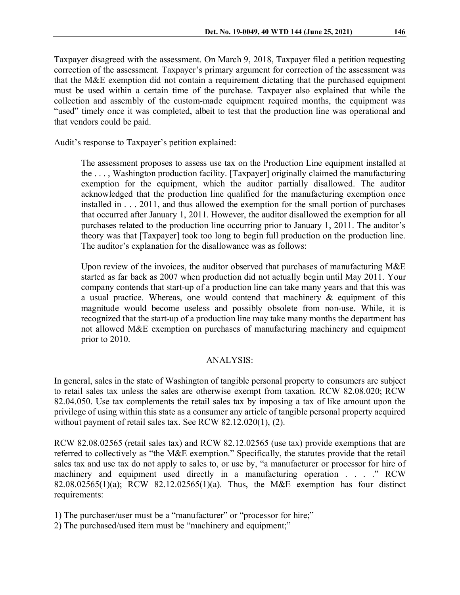Taxpayer disagreed with the assessment. On March 9, 2018, Taxpayer filed a petition requesting correction of the assessment. Taxpayer's primary argument for correction of the assessment was that the M&E exemption did not contain a requirement dictating that the purchased equipment must be used within a certain time of the purchase. Taxpayer also explained that while the collection and assembly of the custom-made equipment required months, the equipment was "used" timely once it was completed, albeit to test that the production line was operational and that vendors could be paid.

Audit's response to Taxpayer's petition explained:

The assessment proposes to assess use tax on the Production Line equipment installed at the . . . , Washington production facility. [Taxpayer] originally claimed the manufacturing exemption for the equipment, which the auditor partially disallowed. The auditor acknowledged that the production line qualified for the manufacturing exemption once installed in . . . 2011, and thus allowed the exemption for the small portion of purchases that occurred after January 1, 2011. However, the auditor disallowed the exemption for all purchases related to the production line occurring prior to January 1, 2011. The auditor's theory was that [Taxpayer] took too long to begin full production on the production line. The auditor's explanation for the disallowance was as follows:

Upon review of the invoices, the auditor observed that purchases of manufacturing M&E started as far back as 2007 when production did not actually begin until May 2011. Your company contends that start-up of a production line can take many years and that this was a usual practice. Whereas, one would contend that machinery & equipment of this magnitude would become useless and possibly obsolete from non-use. While, it is recognized that the start-up of a production line may take many months the department has not allowed M&E exemption on purchases of manufacturing machinery and equipment prior to 2010.

## ANALYSIS:

In general, sales in the state of Washington of tangible personal property to consumers are subject to retail sales tax unless the sales are otherwise exempt from taxation. RCW 82.08.020; RCW 82.04.050. Use tax complements the retail sales tax by imposing a tax of like amount upon the privilege of using within this state as a consumer any article of tangible personal property acquired without payment of retail sales tax. See RCW 82.12.020(1), (2).

RCW 82.08.02565 (retail sales tax) and RCW 82.12.02565 (use tax) provide exemptions that are referred to collectively as "the M&E exemption." Specifically, the statutes provide that the retail sales tax and use tax do not apply to sales to, or use by, "a manufacturer or processor for hire of machinery and equipment used directly in a manufacturing operation . . . ." RCW 82.08.02565(1)(a); RCW 82.12.02565(1)(a). Thus, the M&E exemption has four distinct requirements:

- 1) The purchaser/user must be a "manufacturer" or "processor for hire;"
- 2) The purchased/used item must be "machinery and equipment;"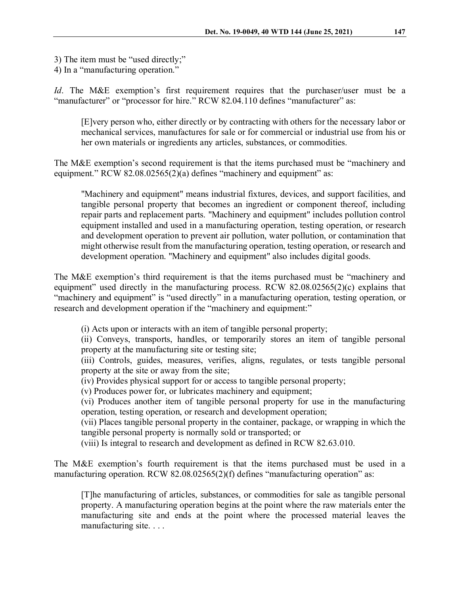3) The item must be "used directly;"

4) In a "manufacturing operation."

*Id*. The M&E exemption's first requirement requires that the purchaser/user must be a "manufacturer" or "processor for hire." RCW 82.04.110 defines "manufacturer" as:

[E]very person who, either directly or by contracting with others for the necessary labor or mechanical services, manufactures for sale or for commercial or industrial use from his or her own materials or ingredients any articles, substances, or commodities.

The M&E exemption's second requirement is that the items purchased must be "machinery and equipment." RCW 82.08.02565(2)(a) defines "machinery and equipment" as:

"Machinery and equipment" means industrial fixtures, devices, and support facilities, and tangible personal property that becomes an ingredient or component thereof, including repair parts and replacement parts. "Machinery and equipment" includes pollution control equipment installed and used in a manufacturing operation, testing operation, or research and development operation to prevent air pollution, water pollution, or contamination that might otherwise result from the manufacturing operation, testing operation, or research and development operation. "Machinery and equipment" also includes digital goods.

The M&E exemption's third requirement is that the items purchased must be "machinery and equipment" used directly in the manufacturing process. RCW 82.08.02565(2)(c) explains that "machinery and equipment" is "used directly" in a manufacturing operation, testing operation, or research and development operation if the "machinery and equipment:"

(i) Acts upon or interacts with an item of tangible personal property;

(ii) Conveys, transports, handles, or temporarily stores an item of tangible personal property at the manufacturing site or testing site;

(iii) Controls, guides, measures, verifies, aligns, regulates, or tests tangible personal property at the site or away from the site;

(iv) Provides physical support for or access to tangible personal property;

(v) Produces power for, or lubricates machinery and equipment;

(vi) Produces another item of tangible personal property for use in the manufacturing operation, testing operation, or research and development operation;

(vii) Places tangible personal property in the container, package, or wrapping in which the tangible personal property is normally sold or transported; or

(viii) Is integral to research and development as defined in RCW 82.63.010.

The M&E exemption's fourth requirement is that the items purchased must be used in a manufacturing operation. RCW 82.08.02565(2)(f) defines "manufacturing operation" as:

[T]he manufacturing of articles, substances, or commodities for sale as tangible personal property. A manufacturing operation begins at the point where the raw materials enter the manufacturing site and ends at the point where the processed material leaves the manufacturing site. . . .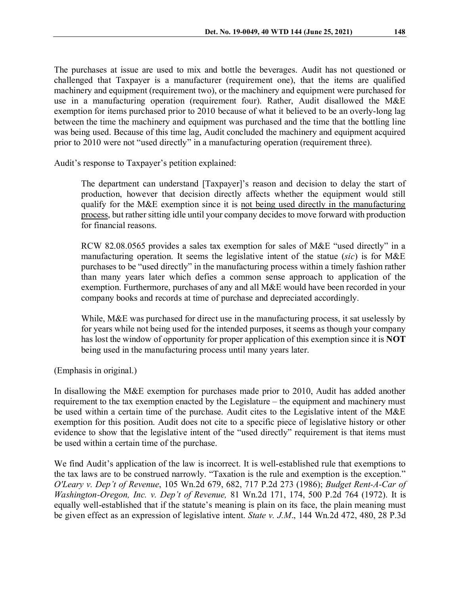The purchases at issue are used to mix and bottle the beverages. Audit has not questioned or challenged that Taxpayer is a manufacturer (requirement one), that the items are qualified machinery and equipment (requirement two), or the machinery and equipment were purchased for use in a manufacturing operation (requirement four). Rather, Audit disallowed the M&E exemption for items purchased prior to 2010 because of what it believed to be an overly-long lag between the time the machinery and equipment was purchased and the time that the bottling line was being used. Because of this time lag, Audit concluded the machinery and equipment acquired prior to 2010 were not "used directly" in a manufacturing operation (requirement three).

Audit's response to Taxpayer's petition explained:

The department can understand [Taxpayer]'s reason and decision to delay the start of production, however that decision directly affects whether the equipment would still qualify for the M&E exemption since it is not being used directly in the manufacturing process, but rather sitting idle until your company decides to move forward with production for financial reasons.

RCW 82.08.0565 provides a sales tax exemption for sales of M&E "used directly" in a manufacturing operation. It seems the legislative intent of the statue (*sic*) is for M&E purchases to be "used directly" in the manufacturing process within a timely fashion rather than many years later which defies a common sense approach to application of the exemption. Furthermore, purchases of any and all M&E would have been recorded in your company books and records at time of purchase and depreciated accordingly.

While, M&E was purchased for direct use in the manufacturing process, it sat uselessly by for years while not being used for the intended purposes, it seems as though your company has lost the window of opportunity for proper application of this exemption since it is **NOT**  being used in the manufacturing process until many years later.

(Emphasis in original.)

In disallowing the M&E exemption for purchases made prior to 2010, Audit has added another requirement to the tax exemption enacted by the Legislature – the equipment and machinery must be used within a certain time of the purchase. Audit cites to the Legislative intent of the M&E exemption for this position. Audit does not cite to a specific piece of legislative history or other evidence to show that the legislative intent of the "used directly" requirement is that items must be used within a certain time of the purchase.

We find Audit's application of the law is incorrect. It is well-established rule that exemptions to the tax laws are to be construed narrowly. "Taxation is the rule and exemption is the exception." *O'Leary v. Dep't of Revenue*, 105 Wn.2d 679, 682, 717 P.2d 273 (1986); *Budget Rent-A-Car of Washington-Oregon, Inc. v. Dep't of Revenue,* 81 Wn.2d 171, 174, 500 P.2d 764 (1972). It is equally well-established that if the statute's meaning is plain on its face, the plain meaning must be given effect as an expression of legislative intent. *State v. J.M*., 144 Wn.2d 472, 480, 28 P.3d